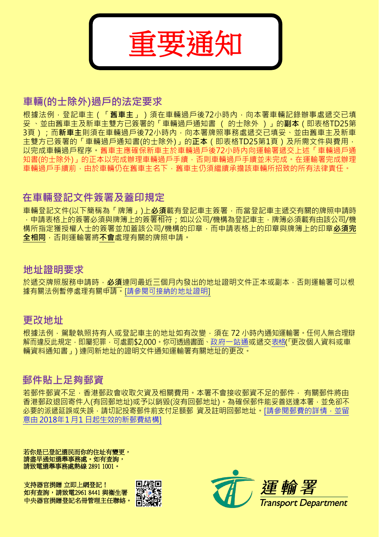

# **車輛(的士除外)過戶的法定要求**

根據法例 · 登記車主 ( 「**舊車主**」 ) 須在車輛過戶後72小時內 · 向本署車輛記錄辦事處遞交已填 妥 、並由舊車主及新車主雙方已簽署的「車輛過戶通知書 ( 的士除外 )」的**副本**(即表格TD25第 3頁);而**新車主**則須在車輛過戶後72小時內,向本署牌照事務處遞交已填妥、並由舊車主及新車 主雙方已簽署的「車輛過戶通知書(的士除外)」的**正本(**即表格TD25第1頁)及所需文件與費用, 以完成車輛過戶程序。舊車主應確保新車主於車輛過戶後72小時內向運輸署遞交上述「車輛過戶通 知書(的士除外)」的正本以完成辦理車輛過戶手續, 否則車輛過戶手續並未完成。在運輸署完成辦理 車輛過戶手續前,由於車輛仍在舊車主名下,舊車主仍須繼續承擔該車輛所招致的所有法律責任。

# **在車輛登記文件簽署及蓋印規定**

車輛登記文件(以下簡稱為「牌簿」)上**必須**載有登記車主簽署,而當登記車主遞交有關的牌照申請時 ,申請表格上的簽署必須與牌簿上的簽署相符;如以公司/機構為登記車主,牌簿必須載有由該公司/機 構所指定獲授權人士的簽署並加蓋該公司/機構的印章,而申請表格上的印章與牌簿上的印章**必須完 全相同**,否則運輸署將**不會**處理有關的牌照申請。

# **地址證明要求**

於遞交牌照服務申請時,**必須**連同最近三個月內發出的地址證明文件正本或副本,否則運輸署可以根 據有關法例暫停處理有關申請。[[請參閱可接納的地址證明](http://www.td.gov.hk/tc/public_services/licences_and_permits/proof_of_address/index.html)]

# **更改地址**

根據法例,駕駛執照持有人或登記車主的地址如有改變,須在 72 小時內通知運輸署。任何人無合理辯 解而違反此規定,即屬犯罪,可處罰\$2,000。你可透過書面[、政府一站通或](http://www.gov.hk/tc/residents/housing/moving/coa.htm)遞交表格(「更改個人資料或車 輛資料通知書」) 連同新地址的證明文件通知運輸署有關地址的更改。

# **郵件貼上足夠郵資**

若郵件郵資不足,香港郵政會收取欠資及相關費用。本署不會接收郵資不足的郵件, 有關郵件將由 香港郵政退回寄件人(有回郵地址)或予以銷毀(沒有回郵地址)。為確保郵件能妥善送達本署,並免卻不 必要的派遞延誤或失誤,請切記投寄郵件前支付足額郵 資及註明回郵地址。[[請參閱郵費的詳情,並留](http://www.hongkongpost.hk/tc/postage_calculator/index.html) 意由 2018年1月1 [日起生效的新郵費結](http://www.hongkongpost.hk/tc/postage_calculator/index.html)構]

若你是已登記選民而你的住址有變更, 請盡早通知選舉事務處。如有查詢, 請致電選舉事務處熱線 2891 1001。

支持器官捐贈 立即上網登記! 如有查詢,請致電2961 8441 與衞生署 中央器官捐贈登記名冊管理主任聯絡。



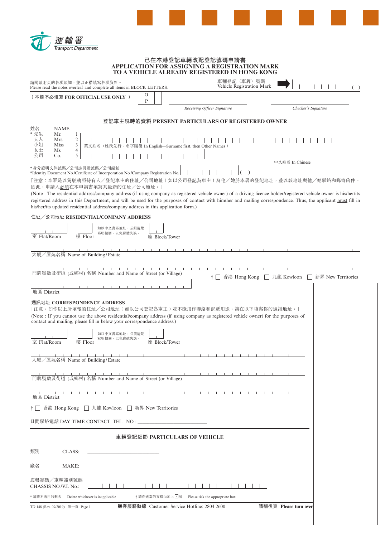

# **已在本港登記車輛改配登記號碼申請書 APPLICATION FOR ASSIGNING A REGISTRATION MARK TO A VEHICLE ALREADY REGISTERED IN HONG KONG**

|                                    |                                                         | 請閱讀附頁的各項須知,並以正楷填寫各項資料。<br>Please read the notes overleaf and complete all items in BLOCK LETTERS.                                                                                                      |                               |               |                                                            | 車輛登記(車牌)號碼<br>Vehicle Registration Mark                                                                                                                                                                                                                                                                                                                                                                      |                       |                      |
|------------------------------------|---------------------------------------------------------|--------------------------------------------------------------------------------------------------------------------------------------------------------------------------------------------------------|-------------------------------|---------------|------------------------------------------------------------|--------------------------------------------------------------------------------------------------------------------------------------------------------------------------------------------------------------------------------------------------------------------------------------------------------------------------------------------------------------------------------------------------------------|-----------------------|----------------------|
|                                    |                                                         | (本欄不必填寫 FOR OFFICIAL USE ONLY )                                                                                                                                                                        |                               | O<br>P        |                                                            |                                                                                                                                                                                                                                                                                                                                                                                                              |                       |                      |
|                                    |                                                         |                                                                                                                                                                                                        |                               |               | Receiving Officer Signature                                |                                                                                                                                                                                                                                                                                                                                                                                                              | Checker's Signature   |                      |
|                                    |                                                         |                                                                                                                                                                                                        |                               |               |                                                            | 登記車主現時的資料 PRESENT PARTICULARS OF REGISTERED OWNER                                                                                                                                                                                                                                                                                                                                                            |                       |                      |
| 姓名<br>* 先生<br>夫人<br>小姐<br>女士<br>公司 | <b>NAME</b><br>Mr.<br>Mrs.<br><b>Miss</b><br>Ms.<br>Co. | 1<br>$\mathfrak{2}$<br>3<br>$\overline{4}$<br>5                                                                                                                                                        |                               |               | 英文姓名(姓氏先行,名字随後 In English—Surname first, then Other Names) |                                                                                                                                                                                                                                                                                                                                                                                                              |                       |                      |
|                                    |                                                         | *身分證明文件號碼/公司註冊證號碼/公司編號                                                                                                                                                                                 |                               |               |                                                            |                                                                                                                                                                                                                                                                                                                                                                                                              | 中文姓名 In Chinese       |                      |
|                                    |                                                         | *Identity Document No./Certificate of Incorporation No./Company Registration No.<br>因此,申請人必須在本申請書填寫其最新的住址/公司地址。」<br>his/her/its updated residential address/company address in this application form.) |                               |               |                                                            | 「注意:本署是以駕駛執照持有人/登記車主的住址/公司地址(如以公司登記為車主)為他/她於本署的登記地址,並以該地址與他/她聯絡和郵寄函件。<br>(Note : The residential address/company address (if using company as registered vehicle owner) of a driving licence holder/registered vehicle owner is his/her/its<br>registered address in this Department, and will be used for the purposes of contact with him/her and mailing correspondence. Thus, the applicant must fill in |                       |                      |
|                                    |                                                         | 住址/公司地址 RESIDENTIAL/COMPANY ADDRESS                                                                                                                                                                    |                               |               |                                                            |                                                                                                                                                                                                                                                                                                                                                                                                              |                       |                      |
| 室 Flat/Room                        |                                                         | 樓 Floor                                                                                                                                                                                                | 如以中文書寫地址,必須清楚<br>寫明樓層,以免郵遞失誤。 | 座 Block/Tower |                                                            |                                                                                                                                                                                                                                                                                                                                                                                                              |                       |                      |
|                                    |                                                         | 大廈/屋苑名稱 Name of Building/Estate                                                                                                                                                                        |                               |               |                                                            |                                                                                                                                                                                                                                                                                                                                                                                                              |                       |                      |
|                                    |                                                         | 門牌號數及街道 (或鄉村) 名稱 Number and Name of Street (or Village)                                                                                                                                                |                               |               |                                                            | † □ 香港 Hong Kong                                                                                                                                                                                                                                                                                                                                                                                             | □ 九龍 Kowloon          | □ 新界 New Territories |
| 地區 District                        |                                                         |                                                                                                                                                                                                        |                               |               |                                                            |                                                                                                                                                                                                                                                                                                                                                                                                              |                       |                      |
|                                    |                                                         | 通訊地址 CORRESPONDENCE ADDRESS<br>contact and mailing, please fill in below your correspondence address.)                                                                                                 |                               |               |                                                            | 「注意:如你以上所填報的住址/公司地址(如以公司登記為車主)並不能用作聯絡和郵遞用途,請在以下填寫你的通訊地址。」<br>(Note : If you cannot use the above residential/company address (if using company as registered vehicle owner) for the purposes of                                                                                                                                                                                                              |                       |                      |
| 室 Flat/Room                        |                                                         | 樓 Floor                                                                                                                                                                                                | 如以中文書寫地址,必須清楚<br>寫明樓層,以免郵遞失誤  | 座 Block/Tower |                                                            |                                                                                                                                                                                                                                                                                                                                                                                                              |                       |                      |
|                                    |                                                         | 大廈/屋苑名稱 Name of Building/Estate                                                                                                                                                                        |                               |               |                                                            |                                                                                                                                                                                                                                                                                                                                                                                                              |                       |                      |
|                                    |                                                         |                                                                                                                                                                                                        |                               |               |                                                            |                                                                                                                                                                                                                                                                                                                                                                                                              |                       |                      |
| 地區 District                        |                                                         |                                                                                                                                                                                                        |                               |               |                                                            |                                                                                                                                                                                                                                                                                                                                                                                                              |                       |                      |
|                                    |                                                         | † □ 香港 Hong Kong □ 九龍 Kowloon □ 新界 New Territories                                                                                                                                                     |                               |               |                                                            |                                                                                                                                                                                                                                                                                                                                                                                                              |                       |                      |
|                                    |                                                         | 日間聯絡電話 DAY TIME CONTACT TEL. NO.: __                                                                                                                                                                   |                               |               |                                                            |                                                                                                                                                                                                                                                                                                                                                                                                              |                       |                      |
|                                    |                                                         |                                                                                                                                                                                                        |                               |               | 車輛登記細節 PARTICULARS OF VEHICLE                              |                                                                                                                                                                                                                                                                                                                                                                                                              |                       |                      |
| 類別                                 | CLASS:                                                  |                                                                                                                                                                                                        |                               |               |                                                            |                                                                                                                                                                                                                                                                                                                                                                                                              |                       |                      |
| 廠名                                 | MAKE:                                                   |                                                                                                                                                                                                        |                               |               |                                                            |                                                                                                                                                                                                                                                                                                                                                                                                              |                       |                      |
|                                    | 底盤號碼/車輛識別號碼<br>CHASSIS NO./V.I. No.:                    |                                                                                                                                                                                                        |                               |               |                                                            |                                                                                                                                                                                                                                                                                                                                                                                                              |                       |                      |
|                                    |                                                         | * 請將不適用的刪去 Delete whichever is inapplicable                                                                                                                                                            |                               |               | †請在適當的方格內加上√號 Please tick the appropriate box              |                                                                                                                                                                                                                                                                                                                                                                                                              |                       |                      |
|                                    | TD 148 (Rev. 09/2019) 第一頁 Page 1                        |                                                                                                                                                                                                        |                               |               | 顧客服務熱線 Customer Service Hotline: 2804 2600                 |                                                                                                                                                                                                                                                                                                                                                                                                              | 請翻後頁 Please turn over |                      |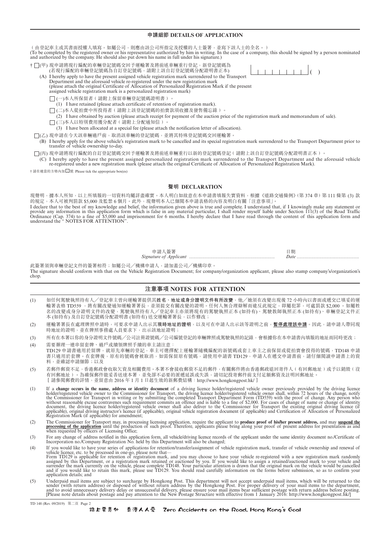# **申請細節 DETAILS OF APPLICATION**

(由登記車主或其書面授權人填寫。如屬公司,則應由該公司所指定及授權的人士簽署,並寫下該人士的全名。) (To be completed by the registered owner or his representative authorized by him in writing. In the case of a company, this should be signed by a person nominated and authorized by the company. He should also put down his name in full under his signature.)

† □(甲) 現申請將現行編配的車輛登記號碼交回予運輸署及將前述車輛重行登記, 新登記號碼為

- (若現行編配的車輛登記號碼為自訂登記號碼,請附上該自訂登記號碼分配證明書正本) (A) I hereby apply to have the present assigned vehicle registration mark surrendered to the Transport Department and the aforesaid vehicle re-registered under the new registration mark
	- (please attach the original Certificate of Allocation of Personalized Registration Mark if the present assigned vehicle registration mark is a personalized registration mark)
		- □(一)本人所保留者(請附上保留車輛登記號碼證明書)。
		- (1) I have retained (please attach certificate of retention of registration mark).
		- □(二)本人從拍賣中所投得者(請附上該登記號碼的拍賣款項收據及發售備忘錄)。
		- (2) I have obtained by auction (please attach receipt for payment of the auction price of the registration mark and memorandum of sale).
		- □(三)本人以特別費用獲分配者(請附上分配通知信)。
			- (3) I have been allocated at a special fee (please attach the notification letter of allocation).
- (乙) 現申請在今天該車輛過戶前,取消該車輛的登記號碼,並將其特殊登記號碼交回運輸署。
- (B) I hereby apply for the above vehicle's registration mark to be cancelled and its special registration mark surrendered to the Transport Department prior to transfer of vehicle ownership to-day.
- □(丙) 現申請將現行編配的自訂登記號碼交回予運輸署及將前述車輛重行以新的登記號碼登記(請附上該自訂登記號碼分配證明書正本)。
	- (C) I hereby apply to have the present assigned personalized registration mark surrendered to the Transport Department and the aforesaid vehicle re-registered under a new registration mark (please attach the original Certificate of Allocation of Personalized Registration Mark).

† 請在適當的方格內加 <sup>√</sup> 號 Please tick the appropriate box(es)

# **聲明 DECLARATION**

現聲明,據本人所知,以上所填報的一切資料均屬詳盡確實。本人明白如故意在本申請書填報失實資料,根據《道路交通條例》(第 374 章) 第 111 條第 (3) 款<br>的規定,本人可被判罰款 \$5,000 及監禁 6 個月。此外,現聲明本人已細閲本申請表格的內容及明白有關「注意事項」。 的規定,本人可被判罰款 \$5,000 及監禁 6 個月。此外,現聲明本人已細閱本申請表格的內容及明白有關「注意事項」。

I declare that to the best of my knowledge and belief, the information given above is true and complete. I understand that, if I knowingly make any statement or provide any information in this application form which is false in any material particular, I shall render myself liable under Section 111(3) of the Road Traffic Ordinance (Cap. 374) to a fine of \$5,000 and imprisonment for 6 months. I hereby declare that I have read through the content of this application form and understand the " NOTES FOR ATTENTION".

> 申請人簽署 日期 *Signature of Applicant .............*

此簽署須與車輛登記文件的簽署相符;如屬公司╱機構申請人,請加蓋公司╱機構印章。 The signature should conform with that on the Vehicle Registration Document; for company/organization applicant, please also stamp company's/organization's chop.

# **注意事項 NOTES FOR ATTENTION**

- (1) 如任何駕駛執照持有人╱登記車主曾向運輸署提供其**姓名、地址或身分證明文件有所改變**,他╱她須在改變出現後 72 小時內以書面或遞交已填妥的運 輸署表格 TD559 ,將有關改變通知運輸署署長,並須提交有關改變的證明。任何人無合理辯解而違反此規定,即屬犯罪,可處罰款 \$2,000 。如屬姓 名的改變或身分證明文件的改變,駕駛執照持有人/登記車主亦須將現有的駕駛執照正本 (如持有)、駕駛教師執照正本 (如持有)、車輛登記文件正 本 (如持有) 及自訂登記號碼分配證明書 (如持有) 送交運輸署署長, 以作修改;
- (2) 運輸署署長在處理牌照申請時,可要求申請人出示其**現時地址的證明**,以及可在申請人出示該等證明之前,**暫停處理該申請**。因此,請申請人帶同現 時地址的證明,並在牌照事務處人員要求下,出示該地址證明;
- (3) 所有在本署以你的身分證明文件號碼/公司註冊證號碼/公司編號登記的車輛牌照或駕駛執照的記錄,會根據你在本申請書內填報的地址而同時更改;
- (4) 需要辦理一連串留套牌、過戶或續領牌照手續的車主請注意: TD129 申請書適用於留牌, 就原先車輛的登記, 車主可選擇配上運輸署隨機編配的新號碼或套上車主之前保留或從拍賣會投得的號碼, TD148 申請 書只適用於套牌。在套牌後,原有的號碼會被取消,如需保留原有號碼,請使用申請書 TD129,由請人在遞交申請書前,請仔細閱讀申請書上的資 料,並確認申請細節;以及
- (5) 若郵件郵資不足,香港郵政會收取欠資及相關費用。本署不會接收郵資不足的郵件,有關郵件將由香港郵政退回寄件人﹙有回郵地址﹚或予以銷毀﹙沒 有回郵地址)。為確保郵件能妥善送達本署,並免卻不必要的派遞延誤或失誤,請切記投寄郵件前支付足額郵資及註明回郵地址。 [請參閱郵費的詳情,並留意由 2016 年 1 月 1 日起生效的新郵費結構:http://www.hongkongpost.hk/]
- (1) If a **change occurs in the name, address or identity document** of a driving licence holder/registered vehicle owner previously provided by the driving licence holder/registered vehicle owner to the Commissioner for Transport, the driving licence holder/registered vehicle owner shall, within 72 hours of the change, notify<br>the Commissioner for Transport in writing or by submitting Registration Mark (if applicable) for amendment;
- (2) The Commissioner for Transport may, in processing licensing application, require the applicant to **produce proof of his/her present address**, and may suspend the processing of the application until the production of su
- (3) For any change of address notified in this application form, all vehicle/driving licence records of the applicant under the same identity document no./Certificate of Incorporation no./Certificate of Incorporation no./C
- 
- (4) If you would like to have your series of applications for retention/transfer/assignment of vehicle registration mark, transfer of vehicle ownership and renewal of vehicle licence, etc. to be processed in one-go, please
- (5) Underpaid mail items are subject to surcharge by Hongkong Post. This department will not accept underpaid mail items, which will be returned to the sender (with return add to surcharge by Hongkong Post. This department

TD 148 (Rev. 09/2019) 第二頁 Page 2

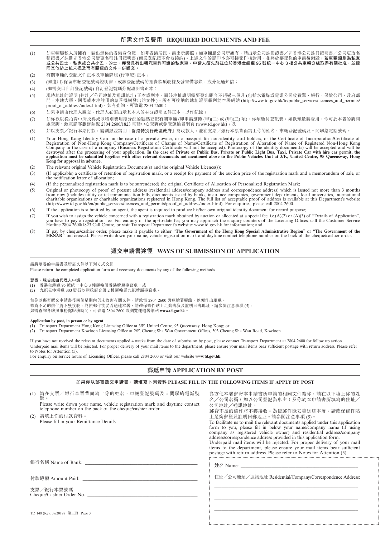# **所需文件及費用 REQUIRED DOCUMENTS AND FEE**

- (1) 如車輛屬私人所擁有,請出示你的香港身份證;如非香港居民,請出示護照;如車輛屬公司所擁有,請出示公司註冊證書/非香港公司註冊證明書/公司更改名 稱證書╱註冊非香港公司變更名稱註冊證明書 (商業登記證不會被接納)。上述文件的影印本亦可接受作核對用,並將於辦理你的申請後銷毀;**若車輛類別為私家 或公共巴士、私家或公共小巴、的士、獲發具有出租汽車許可證的私家車,申請人須先前往位於香港金鐘道 95 號統一中心 3 樓公共車輛分組取得有關批准,並連 同其他於上述未提及而有關連的文件一併遞交。**
- (2) 有關車輛的登記文件正本及車輛牌照 (行車證) 正本;
- (3) (如適用) 保留車輛登記號碼證明書,或該登記號碼的拍賣款項收據及發售備忘錄,或分配通知信;
- (4) (如需交回自訂登記號碼) 自訂登記號碼分配證明書正本;
- (5) 現時地址的證明 (住址╱公司地址及通訊地址) 正本或副本,而該地址證明需要發出距今不超過三個月 (包括水電煤或電訊公司收費單、銀行、保險公司、政府部 門、本地大學、國際或本地註冊的慈善機構發出的文件 )。所有可接納的地址證明載列於本署網站 (http://www.td.gov.hk/tc/public\_services/licences\_and\_permits/ proof\_of\_address/index.html)。如有查詢,可致電 2804 2600;
- (6) 如果申請由代理人遞交,代理人必須出示其本人的身分證明文件正本,以作記錄;
- (7) 如你欲以從拍賣中所投得或以特別費用獲分配的號碼登記有關車輛 (即申請細節 (甲)(二) 或 (甲)(三) 項),你須繳付登記費。如欲知最新費用,你可於本署的詢問 <u>。<br>處查詢、致電顧客服務熱線 2804 2600/1823</u> 電話中心查詢或瀏覽運輸署網頁 (www.td.gov.hk);及
- (8) 如以支票╱銀行本票付款,請劃線並寫明「**香港特別行政區政府**」為收款人,並在支票╱銀行本票背面寫上你的姓名、車輛登記號碼及日間聯絡電話號碼。
- (1) Your Hong Kong Identity Card in the case of a private owner, or a passport for non-identity card holders, or the Certificate of Incorporation/Certificate of Registration of Non-Hong Kong Company/Certificate of Change o Company in the case of a company (Business Registration Certificate will not be accepted). Photocopy of the identity document(s) will be accepted and will be destroyed after the processing of your application. In the case **Kong for approval in advance.**
- (2) The relevant original Vehicle Registration Document(s) and the original Vehicle Licence(s);
- (3) (If applicable) a certificate of retention of registration mark, or a receipt for payment of the auction price of the registration mark and a memorandum of sale, or the notification letter of allocation;
- (4) (If the personalized registration mark is to be surrendered) the original Certificate of Allocation of Personalized Registration Mark;
- (5) Original or photocopy of proof of present address (residential address/company address and correspondence address) which is issued not more than 3 months from now (includes utility or telecommunication bills, documents issued by banks, insurance companies, government departments, local universities, international<br>charitable organizations or charitable organizations register
- (6) If the application is submitted by an agent, the agent is required to produce his/her own original identity document for record purpose;
- (7) If you wish to assign the vehicle concerned with a registration mark obtained by auction or allocated at a special fee, i.e.(A)(2) or (A)(3) of "Details of Application", you have to pay a registration fee. For enquiry of the up-to-date fee, you may approach the enquiry counters of the Licensing Offices, call the Customer Service<br>Hotline 2804 2600/1823 Call Centre, or visit Transport Depart
- (8) If pay by cheque/cashier order, please make it payable to either "The Government of the Hong Kong Special Administrative Region" or "The Government of the HKSAR" and crossed. Please write down your name, vehicle regist

### **遞交申請書途徑 ways of Submission of application**

請將填妥的申請書及所需文件以下列方式交回 

Please return the completed application form and necessary documents by any of the following methods

#### **郵寄、親自或由代理人申請**

- (1) 香港金鐘道 95 號統一中心 3 樓運輸署香港牌照事務處;或
- (2) 九龍長沙灣道 303 號長沙灣政府合署 2 樓運輸署九龍牌照事務處。

如你以郵寄遞交申請書後四個星期內仍未收到有關文件,請致電 2804 2600 與運輸署聯絡,以便作出跟進。 郵資不足的信件將不獲接收。為使郵件能妥善送達本署,請確保郵件貼上足夠郵資及註明回郵地址。請參閱注意事項 (5)。 如需查詢各牌照事務處服務時間,可致電 2804 2600 或瀏覽運輸署網站 **www.td.gov.hk**。

#### **Application by post, in person or by agent**

(1) Transport Department Hong Kong Licensing Office at 3/F, United Centre, 95 Queensway, Hong Kong; or

(2) Transport Department Kowloon Licensing Office at 2/F, Cheung Sha Wan Government Offices, 303 Cheung Sha Wan Road, Kowloon.

If you have not received the relevant documents applied 4 weeks from the date of submission by post, please contact Transport Department at 2804 2600 for follow up action. Underpaid mail items will be rejected. For proper delivery of your mail items to the department, please ensure your mail items bear sufficient postage with return address. Please refer to Notes for Attention (5).

For enquiry on service hours of Licensing Offices, please call 2804 2600 or visit our website **www.td.gov.hk**.

#### **郵遞申請 APPLICATION BY POST**

#### **如果你以郵寄遞交申請書,請填寫下列資料 Please fill in the following items if apply by post**

| (1) 請在支票/銀行本票背面寫上你的姓名、車輛登記號碼及日間聯絡電話號<br>碼。<br>Please write down your name, vehicle registration mark and daytime contact<br>telephone number on the back of the cheque/cashier order. | 為方便本署郵寄本申請書所申請的相關文件給你,請在以下填上你的姓<br>名/公司名稱 ( 如以公司登記為車主) 及你於本申請書所填寫的住址/<br>公司地址/通訊地址。<br>郵資不足的信件將不獲接收。為使郵件能妥善送達本署,請確保郵件貼                                                                                                                                                                                                                                                                                                                                                                                                          |  |  |
|---------------------------------------------------------------------------------------------------------------------------------------------------------------------------------------|---------------------------------------------------------------------------------------------------------------------------------------------------------------------------------------------------------------------------------------------------------------------------------------------------------------------------------------------------------------------------------------------------------------------------------------------------------------------------------------------------------------------------------|--|--|
| (2) 請填上你的付款資料。                                                                                                                                                                        | 上足夠郵資及註明回郵地址。請參閱注意事項(5)。                                                                                                                                                                                                                                                                                                                                                                                                                                                                                                        |  |  |
| Please fill in your Remittance Details.                                                                                                                                               | To facilitate us to mail the relevant documents applied under this application<br>form to you, please fill in below your name/company name (if using<br>company as registered vehicle owner) and residential address/company<br>address/correspondence address provided in this application form.<br>Underpaid mail items will be rejected. For proper delivery of your mail<br>items to the department, please ensure your mail items bear sufficient<br>postage with return address. Please refer to Notes for Attention (5). |  |  |
| 銀行名稱 Name of Bank: Name of Bank: Name of Bank: Name of Bank: Name of Bank: Name of Bank: Name of Bank                                                                                 |                                                                                                                                                                                                                                                                                                                                                                                                                                                                                                                                 |  |  |
| 付款總額 Amount Paid:                                                                                                                                                                     | 住址/公司地址/通訊地址 Residential/Company/Correspondence Address:                                                                                                                                                                                                                                                                                                                                                                                                                                                                        |  |  |
| 支票/銀行本票號碼<br>Cheque/Cashier Order No.                                                                                                                                                 |                                                                                                                                                                                                                                                                                                                                                                                                                                                                                                                                 |  |  |

\_\_\_\_\_\_\_\_\_\_\_\_\_\_\_\_\_\_\_\_\_\_\_\_\_\_\_\_\_\_\_\_\_\_\_\_\_\_\_\_\_\_\_\_\_\_\_\_\_\_\_\_\_\_\_\_\_\_\_\_